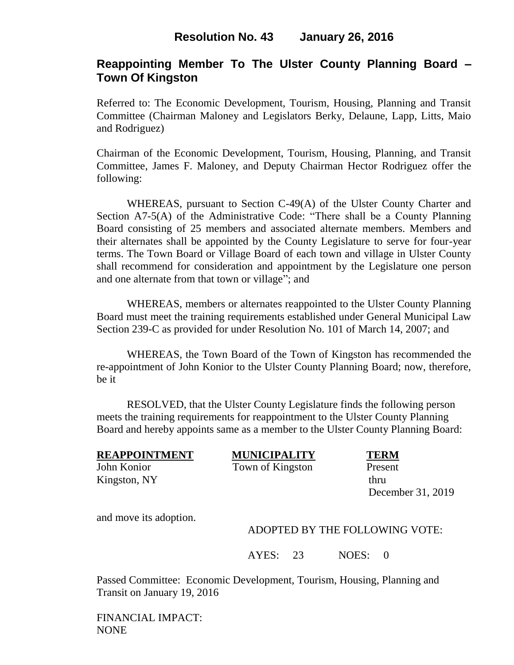## **Resolution No. 43 January 26, 2016**

# **Reappointing Member To The Ulster County Planning Board – Town Of Kingston**

Referred to: The Economic Development, Tourism, Housing, Planning and Transit Committee (Chairman Maloney and Legislators Berky, Delaune, Lapp, Litts, Maio and Rodriguez)

Chairman of the Economic Development, Tourism, Housing, Planning, and Transit Committee, James F. Maloney, and Deputy Chairman Hector Rodriguez offer the following:

WHEREAS, pursuant to Section C-49(A) of the Ulster County Charter and Section A7-5(A) of the Administrative Code: "There shall be a County Planning Board consisting of 25 members and associated alternate members. Members and their alternates shall be appointed by the County Legislature to serve for four-year terms. The Town Board or Village Board of each town and village in Ulster County shall recommend for consideration and appointment by the Legislature one person and one alternate from that town or village"; and

WHEREAS, members or alternates reappointed to the Ulster County Planning Board must meet the training requirements established under General Municipal Law Section 239-C as provided for under Resolution No. 101 of March 14, 2007; and

WHEREAS, the Town Board of the Town of Kingston has recommended the re-appointment of John Konior to the Ulster County Planning Board; now, therefore, be it

RESOLVED, that the Ulster County Legislature finds the following person meets the training requirements for reappointment to the Ulster County Planning Board and hereby appoints same as a member to the Ulster County Planning Board:

John Konior Town of Kingston Present Kingston, NY thru

**REAPPOINTMENT MUNICIPALITY TERM**

December 31, 2019

and move its adoption.

#### ADOPTED BY THE FOLLOWING VOTE:

AYES: 23 NOES: 0

Passed Committee: Economic Development, Tourism, Housing, Planning and Transit on January 19, 2016

FINANCIAL IMPACT: NONE